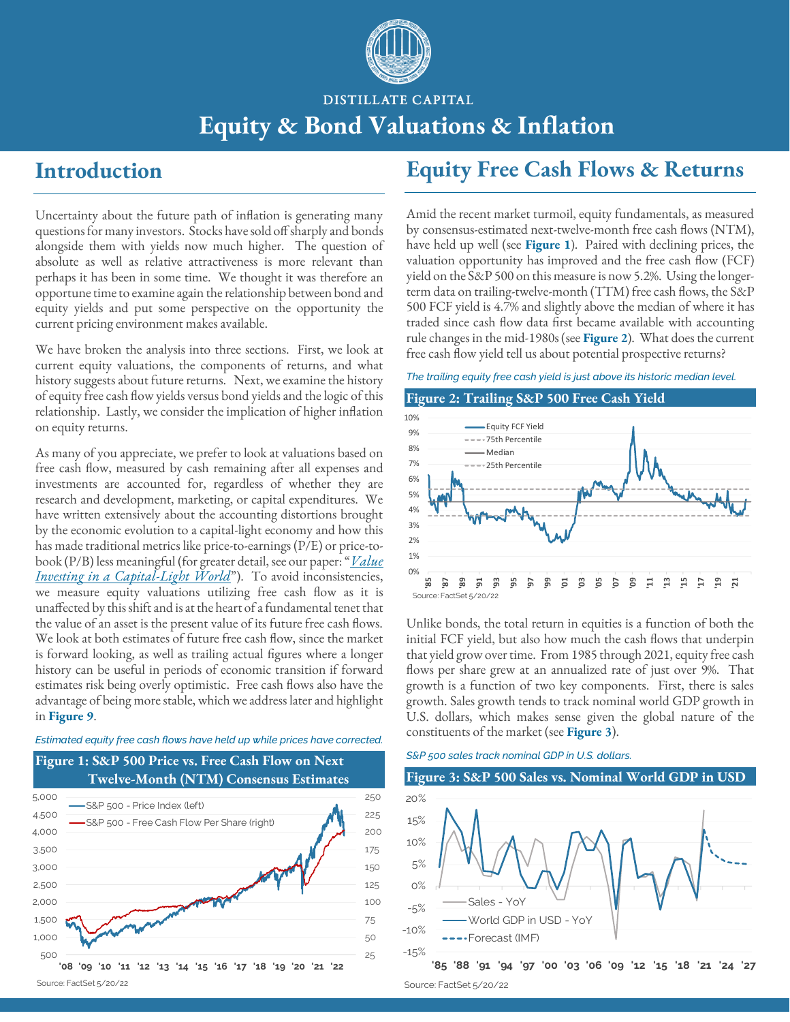

DISTILLATE CAPITAL

## **Equity & Bond Valuations & Inflation**

### **Introduction**

Uncertainty about the future path of inflation is generating many questions for many investors. Stocks have sold off sharply and bonds alongside them with yields now much higher. The question of absolute as well as relative attractiveness is more relevant than perhaps it has been in some time. We thought it was therefore an opportune time to examine again the relationship between bond and equity yields and put some perspective on the opportunity the current pricing environment makes available.

We have broken the analysis into three sections. First, we look at current equity valuations, the components of returns, and what history suggests about future returns. Next, we examine the history of equity free cash flow yields versus bond yields and the logic of this relationship. Lastly, we consider the implication of higher inflation on equity returns.

As many of you appreciate, we prefer to look at valuations based on free cash flow, measured by cash remaining after all expenses and investments are accounted for, regardless of whether they are research and development, marketing, or capital expenditures. We have written extensively about the accounting distortions brought by the economic evolution to a capital-light economy and how this has made traditional metrics like price-to-earnings (P/E) or price-tobook (P/B) less meaningful (for greater detail, see our paper: "*[Value](https://distillatecapital.com/value_investing_capital-light_world)  [Investing in a Capital-Light World](https://distillatecapital.com/value_investing_capital-light_world)*"). To avoid inconsistencies, we measure equity valuations utilizing free cash flow as it is unaffected by this shift and is at the heart of a fundamental tenet that the value of an asset is the present value of its future free cash flows. We look at both estimates of future free cash flow, since the market is forward looking, as well as trailing actual figures where a longer history can be useful in periods of economic transition if forward estimates risk being overly optimistic. Free cash flows also have the advantage of being more stable, which we address later and highlight in **Figure 9**.

### *Estimated equity free cash flows have held up while prices have corrected.*

### **Figure 1: S&P 500 Price vs. Free Cash Flow on Next Twelve-Month (NTM) Consensus Estimates**



## **Equity Free Cash Flows & Returns**

Amid the recent market turmoil, equity fundamentals, as measured by consensus-estimated next-twelve-month free cash flows (NTM), have held up well (see **Figure 1**). Paired with declining prices, the valuation opportunity has improved and the free cash flow (FCF) yield on the S&P 500 on this measure is now 5.2%. Using the longerterm data on trailing-twelve-month (TTM) free cash flows, the S&P 500 FCF yield is 4.7% and slightly above the median of where it has traded since cash flow data first became available with accounting rule changes in the mid-1980s (see **Figure 2**). What does the current free cash flow yield tell us about potential prospective returns?

### *The trailing equity free cash yield is just above its historic median level.*



Unlike bonds, the total return in equities is a function of both the initial FCF yield, but also how much the cash flows that underpin that yield grow over time. From 1985 through 2021, equity free cash flows per share grew at an annualized rate of just over 9%. That growth is a function of two key components. First, there is sales growth. Sales growth tends to track nominal world GDP growth in U.S. dollars, which makes sense given the global nature of the constituents of the market (see **Figure 3**).

### *S&P 500 sales track nominal GDP in U.S. dollars.*

### **Figure 3: S&P 500 Sales vs. Nominal World GDP in USD**



Source: FactSet 5/20/22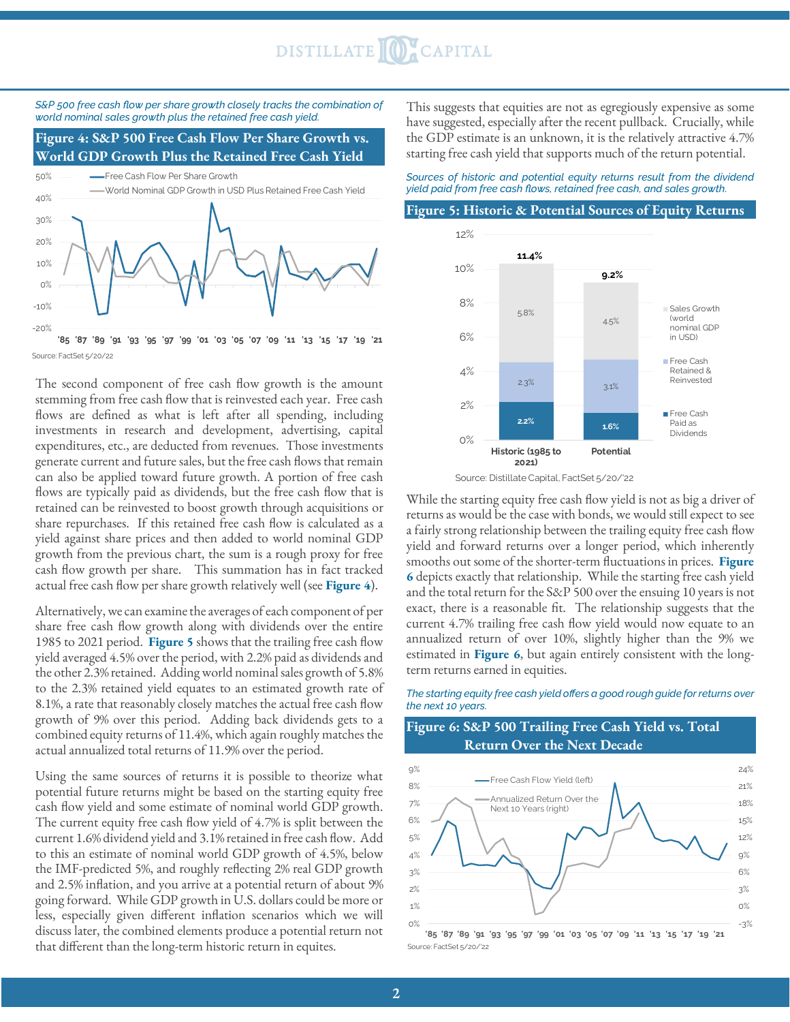## DISTILLATE OCAPITAL



### **Figure 4: S&P 500 Free Cash Flow Per Share Growth vs. World GDP Growth Plus the Retained Free Cash Yield**



The second component of free cash flow growth is the amount stemming from free cash flow that is reinvested each year. Free cash flows are defined as what is left after all spending, including investments in research and development, advertising, capital expenditures, etc., are deducted from revenues. Those investments generate current and future sales, but the free cash flows that remain can also be applied toward future growth. A portion of free cash flows are typically paid as dividends, but the free cash flow that is retained can be reinvested to boost growth through acquisitions or share repurchases. If this retained free cash flow is calculated as a yield against share prices and then added to world nominal GDP growth from the previous chart, the sum is a rough proxy for free cash flow growth per share. This summation has in fact tracked actual free cash flow per share growth relatively well (see **Figure 4**).

Alternatively, we can examine the averages of each component of per share free cash flow growth along with dividends over the entire 1985 to 2021 period. **Figure 5** shows that the trailing free cash flow yield averaged 4.5% over the period, with 2.2% paid as dividends and the other 2.3% retained. Adding world nominal sales growth of 5.8% to the 2.3% retained yield equates to an estimated growth rate of 8.1%, a rate that reasonably closely matches the actual free cash flow growth of 9% over this period. Adding back dividends gets to a combined equity returns of 11.4%, which again roughly matches the actual annualized total returns of 11.9% over the period.

Using the same sources of returns it is possible to theorize what potential future returns might be based on the starting equity free cash flow yield and some estimate of nominal world GDP growth. The current equity free cash flow yield of 4.7% is split between the current 1.6% dividend yield and 3.1% retained in free cash flow. Add to this an estimate of nominal world GDP growth of 4.5%, below the IMF-predicted 5%, and roughly reflecting 2% real GDP growth and 2.5% inflation, and you arrive at a potential return of about 9% going forward. While GDP growth in U.S. dollars could be more or less, especially given different inflation scenarios which we will discuss later, the combined elements produce a potential return not that different than the long-term historic return in equites.

This suggests that equities are not as egregiously expensive as some have suggested, especially after the recent pullback. Crucially, while the GDP estimate is an unknown, it is the relatively attractive 4.7% starting free cash yield that supports much of the return potential.

*Sources of historic and potential equity returns result from the dividend yield paid from free cash flows, retained free cash, and sales growth.*

#### **Figure 5: Historic & Potential Sources of Equity Returns**



Source: Distillate Capital, FactSet 5/20/'22

While the starting equity free cash flow yield is not as big a driver of returns as would be the case with bonds, we would still expect to see a fairly strong relationship between the trailing equity free cash flow yield and forward returns over a longer period, which inherently smooths out some of the shorter-term fluctuations in prices. **Figure 6** depicts exactly that relationship. While the starting free cash yield and the total return for the S&P 500 over the ensuing 10 years is not exact, there is a reasonable fit. The relationship suggests that the current 4.7% trailing free cash flow yield would now equate to an annualized return of over 10%, slightly higher than the 9% we estimated in **Figure 6**, but again entirely consistent with the longterm returns earned in equities.

### *The starting equity free cash yield offers a good rough guide for returns over the next 10 years.*

### **Figure 6: S&P 500 Trailing Free Cash Yield vs. Total Return Over the Next Decade**



Source: FactSet 5/20/'22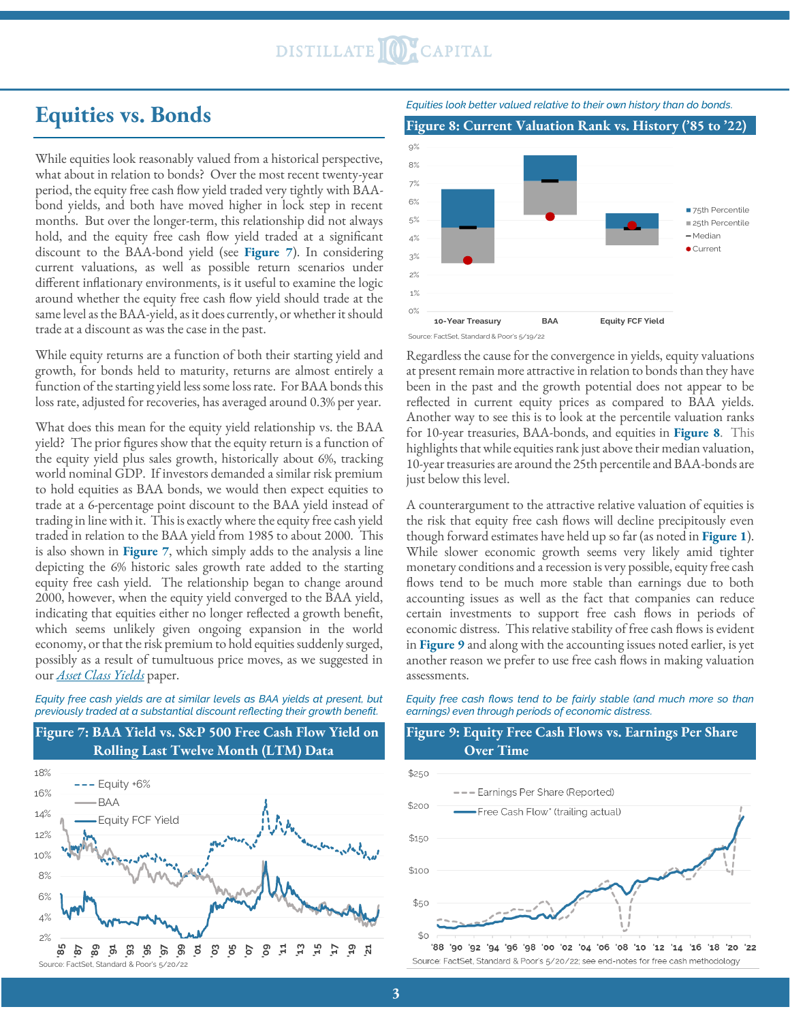## DISTILLATE CAPITAL

### **Equities vs. Bonds**

While equities look reasonably valued from a historical perspective, what about in relation to bonds? Over the most recent twenty-year period, the equity free cash flow yield traded very tightly with BAAbond yields, and both have moved higher in lock step in recent months. But over the longer-term, this relationship did not always hold, and the equity free cash flow yield traded at a significant discount to the BAA-bond yield (see **Figure 7**). In considering current valuations, as well as possible return scenarios under different inflationary environments, is it useful to examine the logic around whether the equity free cash flow yield should trade at the same level as the BAA-yield, as it does currently, or whether it should trade at a discount as was the case in the past.

While equity returns are a function of both their starting yield and growth, for bonds held to maturity, returns are almost entirely a function of the starting yield less some loss rate. For BAA bonds this loss rate, adjusted for recoveries, has averaged around 0.3% per year.

What does this mean for the equity yield relationship vs. the BAA yield? The prior figures show that the equity return is a function of the equity yield plus sales growth, historically about 6%, tracking world nominal GDP. If investors demanded a similar risk premium to hold equities as BAA bonds, we would then expect equities to trade at a 6-percentage point discount to the BAA yield instead of trading in line with it. This is exactly where the equity free cash yield traded in relation to the BAA yield from 1985 to about 2000. This is also shown in **Figure 7**, which simply adds to the analysis a line depicting the 6% historic sales growth rate added to the starting equity free cash yield. The relationship began to change around 2000, however, when the equity yield converged to the BAA yield, indicating that equities either no longer reflected a growth benefit, which seems unlikely given ongoing expansion in the world economy, or that the risk premium to hold equities suddenly surged, possibly as a result of tumultuous price moves, as we suggested in our *[Asset Class Yields](https://distillatecapital.com/asset_valuations)* paper.

*Equity free cash yields are at similar levels as BAA yields at present, but previously traded at a substantial discount reflecting their growth benefit.*





*Equities look better valued relative to their own history than do bonds.*

**Figure 8: Current Valuation Rank vs. History ('85 to '22)**



Regardless the cause for the convergence in yields, equity valuations at present remain more attractive in relation to bonds than they have been in the past and the growth potential does not appear to be reflected in current equity prices as compared to BAA yields. Another way to see this is to look at the percentile valuation ranks for 10-year treasuries, BAA-bonds, and equities in **Figure 8**. This highlights that while equities rank just above their median valuation, 10-year treasuries are around the 25th percentile and BAA-bonds are just below this level.

A counterargument to the attractive relative valuation of equities is the risk that equity free cash flows will decline precipitously even though forward estimates have held up so far (as noted in **Figure 1**). While slower economic growth seems very likely amid tighter monetary conditions and a recession is very possible, equity free cash flows tend to be much more stable than earnings due to both accounting issues as well as the fact that companies can reduce certain investments to support free cash flows in periods of economic distress. This relative stability of free cash flows is evident in **Figure 9** and along with the accounting issues noted earlier, is yet another reason we prefer to use free cash flows in making valuation assessments.

*Equity free cash flows tend to be fairly stable (and much more so than earnings) even through periods of economic distress.*

### **Figure 9: Equity Free Cash Flows vs. Earnings Per Share Over Time**



Source: FactSet, Standard & Poor's 5/20/22; see end-notes for free cash methodology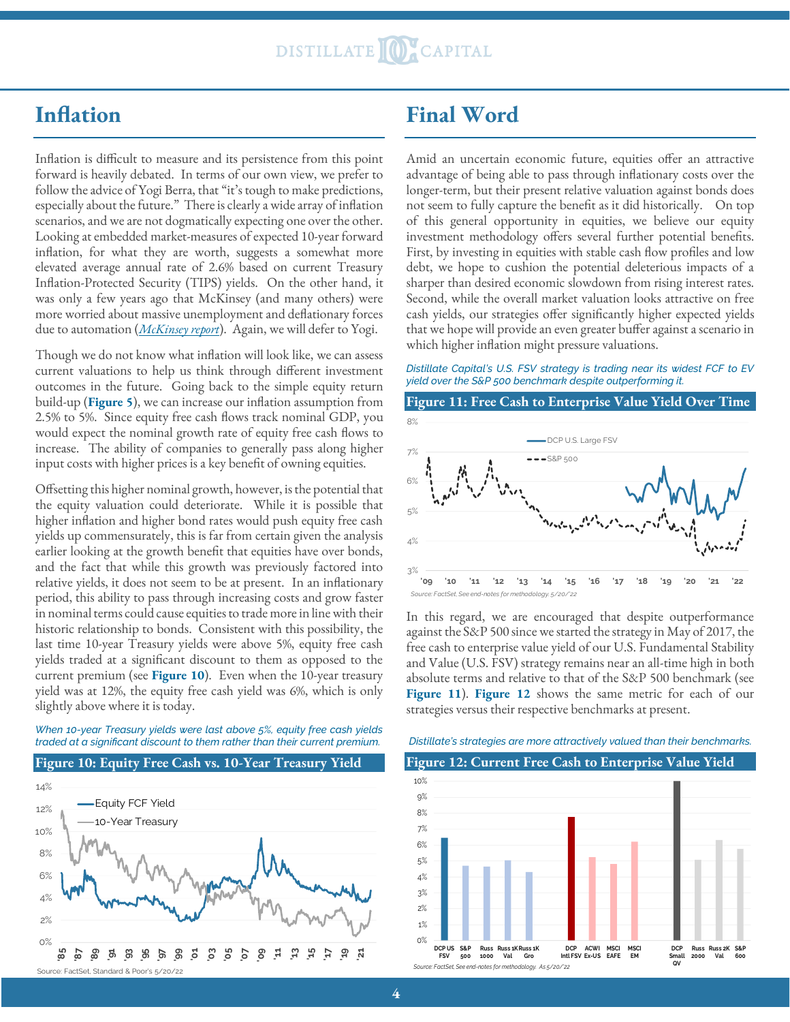### **Inflation**

Inflation is difficult to measure and its persistence from this point forward is heavily debated. In terms of our own view, we prefer to follow the advice of Yogi Berra, that "it's tough to make predictions, especially about the future." There is clearly a wide array of inflation scenarios, and we are not dogmatically expecting one over the other. Looking at embedded market-measures of expected 10-year forward inflation, for what they are worth, suggests a somewhat more elevated average annual rate of 2.6% based on current Treasury Inflation-Protected Security (TIPS) yields. On the other hand, it was only a few years ago that McKinsey (and many others) were more worried about massive unemployment and deflationary forces due to automation (*[McKinsey report](https://www.mckinsey.com/~/media/mckinsey/industries/public%20and%20social%20sector/our%20insights/what%20the%20future%20of%20work%20will%20mean%20for%20jobs%20skills%20and%20wages/mgi%20jobs%20lost-jobs%20gained_report_december%202017.pdf)*). Again, we will defer to Yogi.

Though we do not know what inflation will look like, we can assess current valuations to help us think through different investment outcomes in the future. Going back to the simple equity return build-up (**Figure 5**), we can increase our inflation assumption from 2.5% to 5%. Since equity free cash flows track nominal GDP, you would expect the nominal growth rate of equity free cash flows to increase. The ability of companies to generally pass along higher input costs with higher prices is a key benefit of owning equities.

Offsetting this higher nominal growth, however, is the potential that the equity valuation could deteriorate. While it is possible that higher inflation and higher bond rates would push equity free cash yields up commensurately, this is far from certain given the analysis earlier looking at the growth benefit that equities have over bonds, and the fact that while this growth was previously factored into relative yields, it does not seem to be at present. In an inflationary period, this ability to pass through increasing costs and grow faster in nominal terms could cause equities to trade more in line with their historic relationship to bonds. Consistent with this possibility, the last time 10-year Treasury yields were above 5%, equity free cash yields traded at a significant discount to them as opposed to the current premium (see **Figure 10**). Even when the 10-year treasury yield was at 12%, the equity free cash yield was 6%, which is only slightly above where it is today.

### *When 10-year Treasury yields were last above 5%, equity free cash yields traded at a significant discount to them rather than their current premium.*

### **Figure 10: Equity Free Cash vs. 10-Year Treasury Yield**



### **Final Word**

Amid an uncertain economic future, equities offer an attractive advantage of being able to pass through inflationary costs over the longer-term, but their present relative valuation against bonds does not seem to fully capture the benefit as it did historically. On top of this general opportunity in equities, we believe our equity investment methodology offers several further potential benefits. First, by investing in equities with stable cash flow profiles and low debt, we hope to cushion the potential deleterious impacts of a sharper than desired economic slowdown from rising interest rates. Second, while the overall market valuation looks attractive on free cash yields, our strategies offer significantly higher expected yields that we hope will provide an even greater buffer against a scenario in which higher inflation might pressure valuations.

### *Distillate Capital's U.S. FSV strategy is trading near its widest FCF to EV yield over the S&P 500 benchmark despite outperforming it.*

### **Figure 11: Free Cash to Enterprise Value Yield Over Time**



In this regard, we are encouraged that despite outperformance against the S&P 500 since we started the strategy in May of 2017, the free cash to enterprise value yield of our U.S. Fundamental Stability and Value (U.S. FSV) strategy remains near an all-time high in both absolute terms and relative to that of the S&P 500 benchmark (see **Figure 11**). **Figure 12** shows the same metric for each of our strategies versus their respective benchmarks at present.

### *Distillate's strategies are more attractively valued than their benchmarks.*

### **Figure 12: Current Free Cash to Enterprise Value Yield**